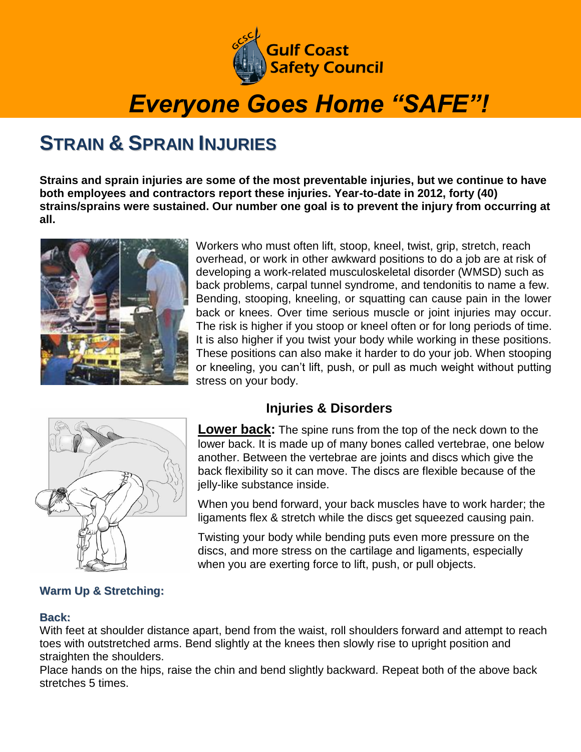

# *Everyone Goes Home "SAFE"!*

### **STRAIN & SPRAIN INJURIES**

**Strains and sprain injuries are some of the most preventable injuries, but we continue to have both employees and contractors report these injuries. Year-to-date in 2012, forty (40) strains/sprains were sustained. Our number one goal is to prevent the injury from occurring at all.** 



Workers who must often lift, stoop, kneel, twist, grip, stretch, reach overhead, or work in other awkward positions to do a job are at risk of developing a work-related musculoskeletal disorder (WMSD) such as back problems, carpal tunnel syndrome, and tendonitis to name a few. Bending, stooping, kneeling, or squatting can cause pain in the lower back or knees. Over time serious muscle or joint injuries may occur. The risk is higher if you stoop or kneel often or for long periods of time. It is also higher if you twist your body while working in these positions. These positions can also make it harder to do your job. When stooping or kneeling, you can't lift, push, or pull as much weight without putting stress on your body.



### **Warm Up & Stretching:**

### **Injuries & Disorders**

**Lower back:** The spine runs from the top of the neck down to the lower back. It is made up of many bones called vertebrae, one below another. Between the vertebrae are joints and discs which give the back flexibility so it can move. The discs are flexible because of the jelly-like substance inside.

When you bend forward, your back muscles have to work harder; the ligaments flex & stretch while the discs get squeezed causing pain.

Twisting your body while bending puts even more pressure on the discs, and more stress on the cartilage and ligaments, especially when you are exerting force to lift, push, or pull objects.

#### **Back:**

With feet at shoulder distance apart, bend from the waist, roll shoulders forward and attempt to reach toes with outstretched arms. Bend slightly at the knees then slowly rise to upright position and straighten the shoulders.

Place hands on the hips, raise the chin and bend slightly backward. Repeat both of the above back stretches 5 times.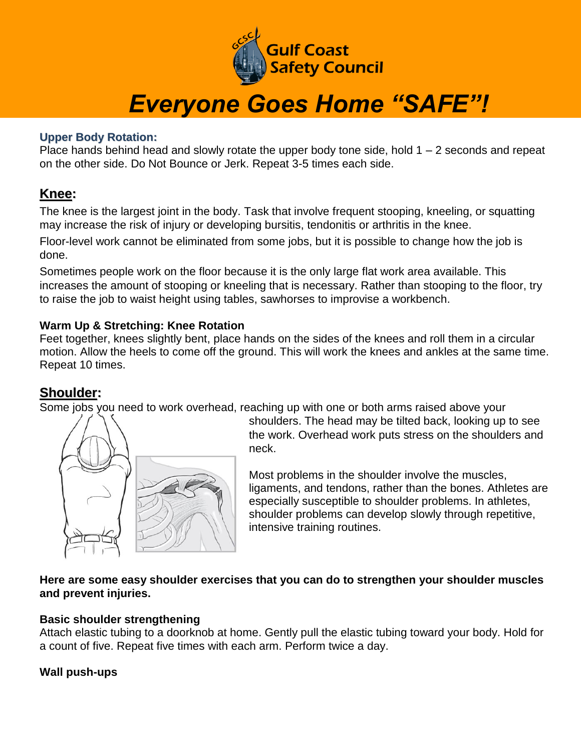

## *Everyone Goes Home "SAFE"!*

#### **Upper Body Rotation:**

Place hands behind head and slowly rotate the upper body tone side, hold  $1 - 2$  seconds and repeat on the other side. Do Not Bounce or Jerk. Repeat 3-5 times each side.

#### **Knee:**

The knee is the largest joint in the body. Task that involve frequent stooping, kneeling, or squatting may increase the risk of injury or developing bursitis, tendonitis or arthritis in the knee.

Floor-level work cannot be eliminated from some jobs, but it is possible to change how the job is done.

Sometimes people work on the floor because it is the only large flat work area available. This increases the amount of stooping or kneeling that is necessary. Rather than stooping to the floor, try to raise the job to waist height using tables, sawhorses to improvise a workbench.

#### **Warm Up & Stretching: Knee Rotation**

Feet together, knees slightly bent, place hands on the sides of the knees and roll them in a circular motion. Allow the heels to come off the ground. This will work the knees and ankles at the same time. Repeat 10 times.

#### **Shoulder:**

Some jobs you need to work overhead, reaching up with one or both arms raised above your



shoulders. The head may be tilted back, looking up to see the work. Overhead work puts stress on the shoulders and neck.

Most problems in the shoulder involve the muscles, ligaments, and tendons, rather than the bones. Athletes are especially susceptible to shoulder problems. In athletes, shoulder problems can develop slowly through repetitive, intensive training routines.

#### **Here are some easy shoulder exercises that you can do to strengthen your shoulder muscles and prevent injuries.**

#### **Basic shoulder strengthening**

Attach elastic tubing to a doorknob at home. Gently pull the elastic tubing toward your body. Hold for a count of five. Repeat five times with each arm. Perform twice a day.

#### **Wall push-ups**